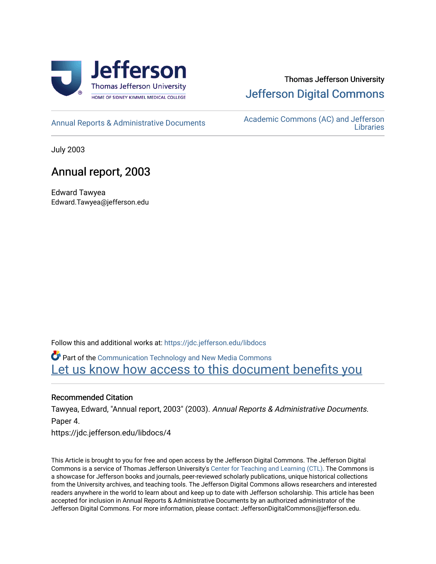

# Thomas Jefferson University [Jefferson Digital Commons](https://jdc.jefferson.edu/)

[Annual Reports & Administrative Documents](https://jdc.jefferson.edu/libdocs) Academic Commons (AC) and Jefferson **Libraries** 

July 2003

# Annual report, 2003

Edward Tawyea Edward.Tawyea@jefferson.edu

Follow this and additional works at: [https://jdc.jefferson.edu/libdocs](https://jdc.jefferson.edu/libdocs?utm_source=jdc.jefferson.edu%2Flibdocs%2F4&utm_medium=PDF&utm_campaign=PDFCoverPages)

Part of the [Communication Technology and New Media Commons](http://network.bepress.com/hgg/discipline/327?utm_source=jdc.jefferson.edu%2Flibdocs%2F4&utm_medium=PDF&utm_campaign=PDFCoverPages)  Let us know how access to this document benefits you

#### Recommended Citation

Tawyea, Edward, "Annual report, 2003" (2003). Annual Reports & Administrative Documents. Paper 4.

https://jdc.jefferson.edu/libdocs/4

This Article is brought to you for free and open access by the Jefferson Digital Commons. The Jefferson Digital Commons is a service of Thomas Jefferson University's [Center for Teaching and Learning \(CTL\)](http://www.jefferson.edu/university/teaching-learning.html/). The Commons is a showcase for Jefferson books and journals, peer-reviewed scholarly publications, unique historical collections from the University archives, and teaching tools. The Jefferson Digital Commons allows researchers and interested readers anywhere in the world to learn about and keep up to date with Jefferson scholarship. This article has been accepted for inclusion in Annual Reports & Administrative Documents by an authorized administrator of the Jefferson Digital Commons. For more information, please contact: JeffersonDigitalCommons@jefferson.edu.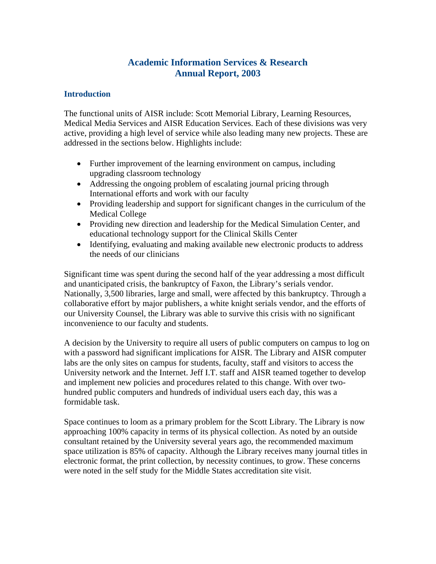# **Academic Information Services & Research Annual Report, 2003**

## **Introduction**

The functional units of AISR include: Scott Memorial Library, Learning Resources, Medical Media Services and AISR Education Services. Each of these divisions was very active, providing a high level of service while also leading many new projects. These are addressed in the sections below. Highlights include:

- Further improvement of the learning environment on campus, including upgrading classroom technology
- Addressing the ongoing problem of escalating journal pricing through International efforts and work with our faculty
- Providing leadership and support for significant changes in the curriculum of the Medical College
- Providing new direction and leadership for the Medical Simulation Center, and educational technology support for the Clinical Skills Center
- Identifying, evaluating and making available new electronic products to address the needs of our clinicians

Significant time was spent during the second half of the year addressing a most difficult and unanticipated crisis, the bankruptcy of Faxon, the Library's serials vendor. Nationally, 3,500 libraries, large and small, were affected by this bankruptcy. Through a collaborative effort by major publishers, a white knight serials vendor, and the efforts of our University Counsel, the Library was able to survive this crisis with no significant inconvenience to our faculty and students.

A decision by the University to require all users of public computers on campus to log on with a password had significant implications for AISR. The Library and AISR computer labs are the only sites on campus for students, faculty, staff and visitors to access the University network and the Internet. Jeff I.T. staff and AISR teamed together to develop and implement new policies and procedures related to this change. With over twohundred public computers and hundreds of individual users each day, this was a formidable task.

Space continues to loom as a primary problem for the Scott Library. The Library is now approaching 100% capacity in terms of its physical collection. As noted by an outside consultant retained by the University several years ago, the recommended maximum space utilization is 85% of capacity. Although the Library receives many journal titles in electronic format, the print collection, by necessity continues, to grow. These concerns were noted in the self study for the Middle States accreditation site visit.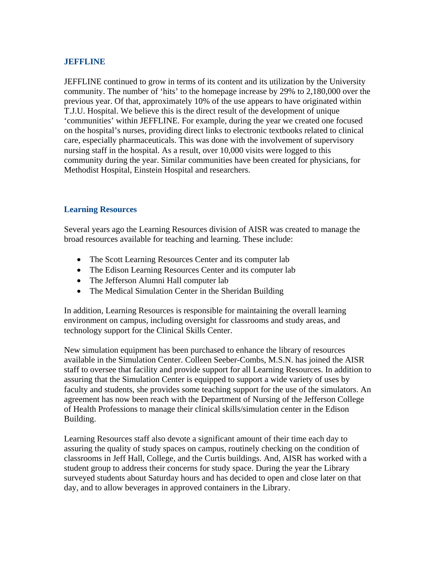#### **JEFFLINE**

JEFFLINE continued to grow in terms of its content and its utilization by the University community. The number of 'hits' to the homepage increase by 29% to 2,180,000 over the previous year. Of that, approximately 10% of the use appears to have originated within T.J.U. Hospital. We believe this is the direct result of the development of unique 'communities' within JEFFLINE. For example, during the year we created one focused on the hospital's nurses, providing direct links to electronic textbooks related to clinical care, especially pharmaceuticals. This was done with the involvement of supervisory nursing staff in the hospital. As a result, over 10,000 visits were logged to this community during the year. Similar communities have been created for physicians, for Methodist Hospital, Einstein Hospital and researchers.

### **Learning Resources**

Several years ago the Learning Resources division of AISR was created to manage the broad resources available for teaching and learning. These include:

- The Scott Learning Resources Center and its computer lab
- The Edison Learning Resources Center and its computer lab
- The Jefferson Alumni Hall computer lab
- The Medical Simulation Center in the Sheridan Building

In addition, Learning Resources is responsible for maintaining the overall learning environment on campus, including oversight for classrooms and study areas, and technology support for the Clinical Skills Center.

New simulation equipment has been purchased to enhance the library of resources available in the Simulation Center. Colleen Seeber-Combs, M.S.N. has joined the AISR staff to oversee that facility and provide support for all Learning Resources. In addition to assuring that the Simulation Center is equipped to support a wide variety of uses by faculty and students, she provides some teaching support for the use of the simulators. An agreement has now been reach with the Department of Nursing of the Jefferson College of Health Professions to manage their clinical skills/simulation center in the Edison Building.

Learning Resources staff also devote a significant amount of their time each day to assuring the quality of study spaces on campus, routinely checking on the condition of classrooms in Jeff Hall, College, and the Curtis buildings. And, AISR has worked with a student group to address their concerns for study space. During the year the Library surveyed students about Saturday hours and has decided to open and close later on that day, and to allow beverages in approved containers in the Library.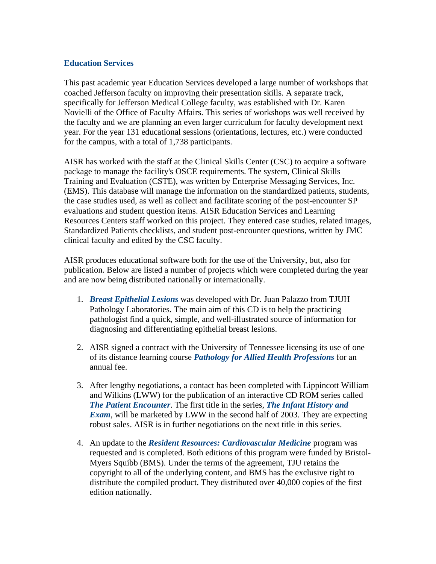#### **Education Services**

This past academic year Education Services developed a large number of workshops that coached Jefferson faculty on improving their presentation skills. A separate track, specifically for Jefferson Medical College faculty, was established with Dr. Karen Novielli of the Office of Faculty Affairs. This series of workshops was well received by the faculty and we are planning an even larger curriculum for faculty development next year. For the year 131 educational sessions (orientations, lectures, etc.) were conducted for the campus, with a total of 1,738 participants.

AISR has worked with the staff at the Clinical Skills Center (CSC) to acquire a software package to manage the facility's OSCE requirements. The system, Clinical Skills Training and Evaluation (CSTE), was written by Enterprise Messaging Services, Inc. (EMS). This database will manage the information on the standardized patients, students, the case studies used, as well as collect and facilitate scoring of the post-encounter SP evaluations and student question items. AISR Education Services and Learning Resources Centers staff worked on this project. They entered case studies, related images, Standardized Patients checklists, and student post-encounter questions, written by JMC clinical faculty and edited by the CSC faculty.

AISR produces educational software both for the use of the University, but, also for publication. Below are listed a number of projects which were completed during the year and are now being distributed nationally or internationally.

- 1. *Breast Epithelial Lesions* was developed with Dr. Juan Palazzo from TJUH Pathology Laboratories. The main aim of this CD is to help the practicing pathologist find a quick, simple, and well-illustrated source of information for diagnosing and differentiating epithelial breast lesions.
- 2. AISR signed a contract with the University of Tennessee licensing its use of one of its distance learning course *Pathology for Allied Health Professions* for an annual fee.
- 3. After lengthy negotiations, a contact has been completed with Lippincott William and Wilkins (LWW) for the publication of an interactive CD ROM series called *The Patient Encounter*. The first title in the series, *The Infant History and Exam*, will be marketed by LWW in the second half of 2003. They are expecting robust sales. AISR is in further negotiations on the next title in this series.
- 4. An update to the *Resident Resources: Cardiovascular Medicine* program was requested and is completed. Both editions of this program were funded by Bristol-Myers Squibb (BMS). Under the terms of the agreement, TJU retains the copyright to all of the underlying content, and BMS has the exclusive right to distribute the compiled product. They distributed over 40,000 copies of the first edition nationally.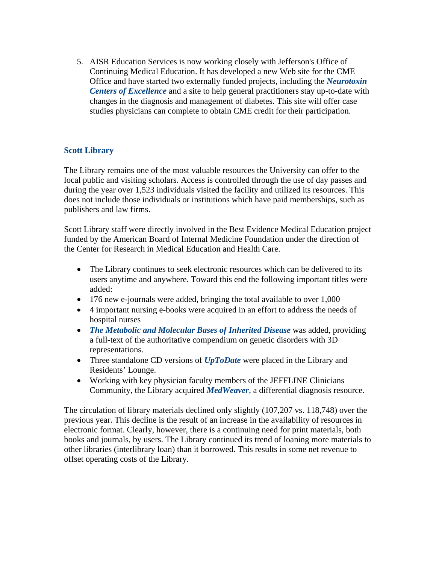5. AISR Education Services is now working closely with Jefferson's Office of Continuing Medical Education. It has developed a new Web site for the CME Office and have started two externally funded projects, including the *Neurotoxin Centers of Excellence* and a site to help general practitioners stay up-to-date with changes in the diagnosis and management of diabetes. This site will offer case studies physicians can complete to obtain CME credit for their participation.

# **Scott Library**

The Library remains one of the most valuable resources the University can offer to the local public and visiting scholars. Access is controlled through the use of day passes and during the year over 1,523 individuals visited the facility and utilized its resources. This does not include those individuals or institutions which have paid memberships, such as publishers and law firms.

Scott Library staff were directly involved in the Best Evidence Medical Education project funded by the American Board of Internal Medicine Foundation under the direction of the Center for Research in Medical Education and Health Care.

- The Library continues to seek electronic resources which can be delivered to its users anytime and anywhere. Toward this end the following important titles were added:
- 176 new e-journals were added, bringing the total available to over 1,000
- 4 important nursing e-books were acquired in an effort to address the needs of hospital nurses
- *The Metabolic and Molecular Bases of Inherited Disease* was added, providing a full-text of the authoritative compendium on genetic disorders with 3D representations.
- Three standalone CD versions of *UpToDate* were placed in the Library and Residents' Lounge.
- Working with key physician faculty members of the JEFFLINE Clinicians Community, the Library acquired *MedWeaver*, a differential diagnosis resource.

The circulation of library materials declined only slightly (107,207 vs. 118,748) over the previous year. This decline is the result of an increase in the availability of resources in electronic format. Clearly, however, there is a continuing need for print materials, both books and journals, by users. The Library continued its trend of loaning more materials to other libraries (interlibrary loan) than it borrowed. This results in some net revenue to offset operating costs of the Library.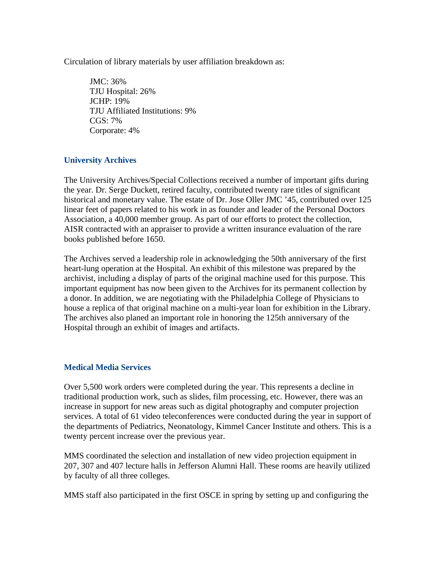Circulation of library materials by user affiliation breakdown as:

JMC: 36% TJU Hospital: 26% JCHP: 19% TJU Affiliated Institutions: 9%  $CGS: 7\%$ Corporate: 4%

### **University Archives**

The University Archives/Special Collections received a number of important gifts during the year. Dr. Serge Duckett, retired faculty, contributed twenty rare titles of significant historical and monetary value. The estate of Dr. Jose Oller JMC '45, contributed over 125 linear feet of papers related to his work in as founder and leader of the Personal Doctors Association, a 40,000 member group. As part of our efforts to protect the collection, AISR contracted with an appraiser to provide a written insurance evaluation of the rare books published before 1650.

The Archives served a leadership role in acknowledging the 50th anniversary of the first heart-lung operation at the Hospital. An exhibit of this milestone was prepared by the archivist, including a display of parts of the original machine used for this purpose. This important equipment has now been given to the Archives for its permanent collection by a donor. In addition, we are negotiating with the Philadelphia College of Physicians to house a replica of that original machine on a multi-year loan for exhibition in the Library. The archives also planed an important role in honoring the 125th anniversary of the Hospital through an exhibit of images and artifacts.

#### **Medical Media Services**

Over 5,500 work orders were completed during the year. This represents a decline in traditional production work, such as slides, film processing, etc. However, there was an increase in support for new areas such as digital photography and computer projection services. A total of 61 video teleconferences were conducted during the year in support of the departments of Pediatrics, Neonatology, Kimmel Cancer Institute and others. This is a twenty percent increase over the previous year.

MMS coordinated the selection and installation of new video projection equipment in 207, 307 and 407 lecture halls in Jefferson Alumni Hall. These rooms are heavily utilized by faculty of all three colleges.

MMS staff also participated in the first OSCE in spring by setting up and configuring the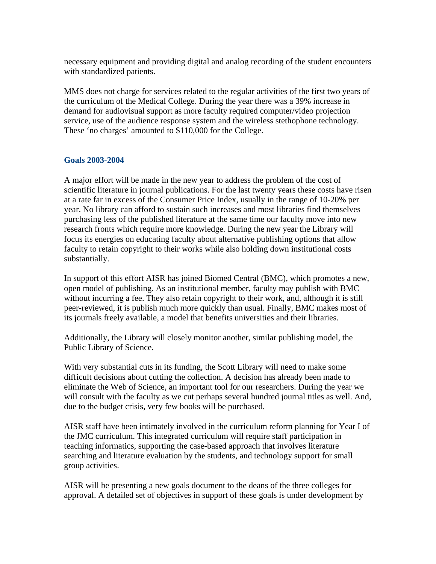necessary equipment and providing digital and analog recording of the student encounters with standardized patients.

MMS does not charge for services related to the regular activities of the first two years of the curriculum of the Medical College. During the year there was a 39% increase in demand for audiovisual support as more faculty required computer/video projection service, use of the audience response system and the wireless stethophone technology. These 'no charges' amounted to \$110,000 for the College.

### **Goals 2003-2004**

A major effort will be made in the new year to address the problem of the cost of scientific literature in journal publications. For the last twenty years these costs have risen at a rate far in excess of the Consumer Price Index, usually in the range of 10-20% per year. No library can afford to sustain such increases and most libraries find themselves purchasing less of the published literature at the same time our faculty move into new research fronts which require more knowledge. During the new year the Library will focus its energies on educating faculty about alternative publishing options that allow faculty to retain copyright to their works while also holding down institutional costs substantially.

In support of this effort AISR has joined Biomed Central (BMC), which promotes a new, open model of publishing. As an institutional member, faculty may publish with BMC without incurring a fee. They also retain copyright to their work, and, although it is still peer-reviewed, it is publish much more quickly than usual. Finally, BMC makes most of its journals freely available, a model that benefits universities and their libraries.

Additionally, the Library will closely monitor another, similar publishing model, the Public Library of Science.

With very substantial cuts in its funding, the Scott Library will need to make some difficult decisions about cutting the collection. A decision has already been made to eliminate the Web of Science, an important tool for our researchers. During the year we will consult with the faculty as we cut perhaps several hundred journal titles as well. And, due to the budget crisis, very few books will be purchased.

AISR staff have been intimately involved in the curriculum reform planning for Year I of the JMC curriculum. This integrated curriculum will require staff participation in teaching informatics, supporting the case-based approach that involves literature searching and literature evaluation by the students, and technology support for small group activities.

AISR will be presenting a new goals document to the deans of the three colleges for approval. A detailed set of objectives in support of these goals is under development by